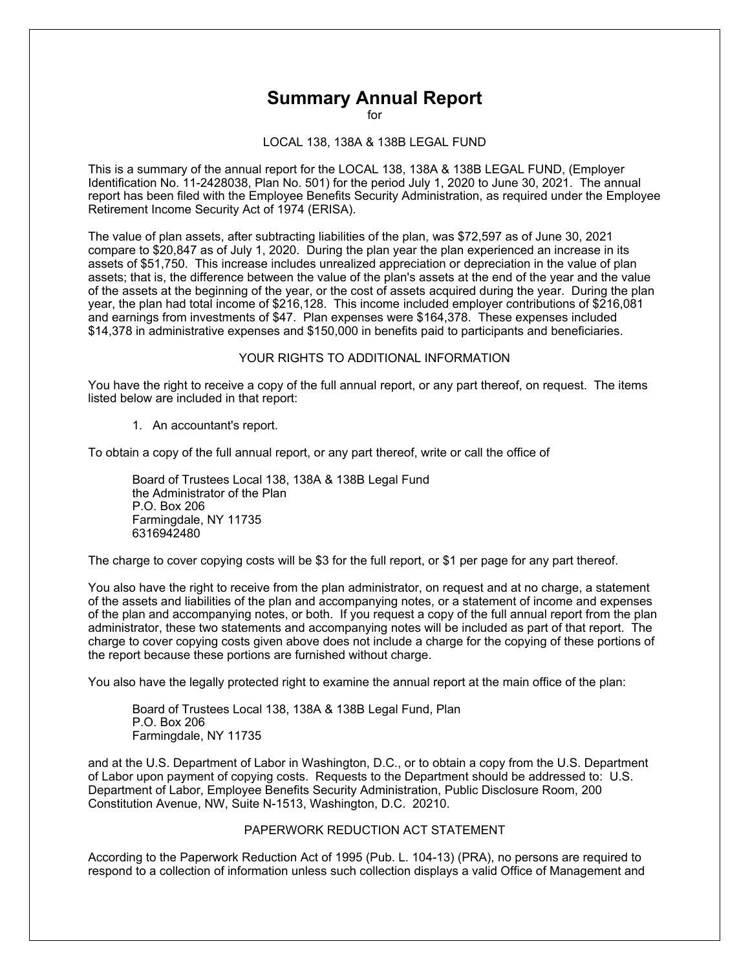## **Summary Annual Report**

for

LOCAL 138, 138A & 138B LEGAL FUND

This is a summary of the annual report for the LOCAL 138, 138A & 138B LEGAL FUND, (Employer Identification No. 11-2428038, Plan No. 501) for the period July 1, 2020 to June 30, 2021. The annual report has been filed with the Employee Benefits Security Administration, as required under the Employee Retirement Income Security Act of 1974 (ERISA).

The value of plan assets, after subtracting liabilities of the plan, was \$72,597 as of June 30, 2021 compare to \$20,847 as of July 1, 2020. During the plan year the plan experienced an increase in its assets of \$51,750. This increase includes unrealized appreciation or depreciation in the value of plan assets; that is, the difference between the value of the plan's assets at the end of the year and the value of the assets at the beginning of the year, or the cost of assets acquired during the year. During the plan year, the plan had total income of \$216,128. This income included employer contributions of \$216,081 and earnings from investments of \$47. Plan expenses were \$164,378. These expenses included \$14,378 in administrative expenses and \$150,000 in benefits paid to participants and beneficiaries.

## YOUR RIGHTS TO ADDITIONAL INFORMATION

You have the right to receive a copy of the full annual report, or any part thereof, on request. The items listed below are included in that report:

1. An accountant's report.

To obtain a copy of the full annual report, or any part thereof, write or call the office of

Board of Trustees Local 138, 138A & 138B Legal Fund the Administrator of the Plan P.O. Box 206 Farmingdale, NY 11735 6316942480

The charge to cover copying costs will be \$3 for the full report, or \$1 per page for any part thereof.

You also have the right to receive from the plan administrator, on request and at no charge, a statement of the assets and liabilities of the plan and accompanying notes, or a statement of income and expenses of the plan and accompanying notes, or both. If you request a copy of the full annual report from the plan administrator, these two statements and accompanying notes will be included as part of that report. The charge to cover copying costs given above does not include a charge for the copying of these portions of the report because these portions are furnished without charge.

You also have the legally protected right to examine the annual report at the main office of the plan:

Board of Trustees Local 138, 138A & 138B Legal Fund, Plan P.O. Box 206 Farmingdale, NY 11735

and at the U.S. Department of Labor in Washington, D.C., or to obtain a copy from the U.S. Department of Labor upon payment of copying costs. Requests to the Department should be addressed to: U.S. Department of Labor, Employee Benefits Security Administration, Public Disclosure Room, 200 Constitution Avenue, NW, Suite N-1513, Washington, D.C. 20210.

## PAPERWORK REDUCTION ACT STATEMENT

According to the Paperwork Reduction Act of 1995 (Pub. L. 104-13) (PRA), no persons are required to respond to a collection of information unless such collection displays a valid Office of Management and